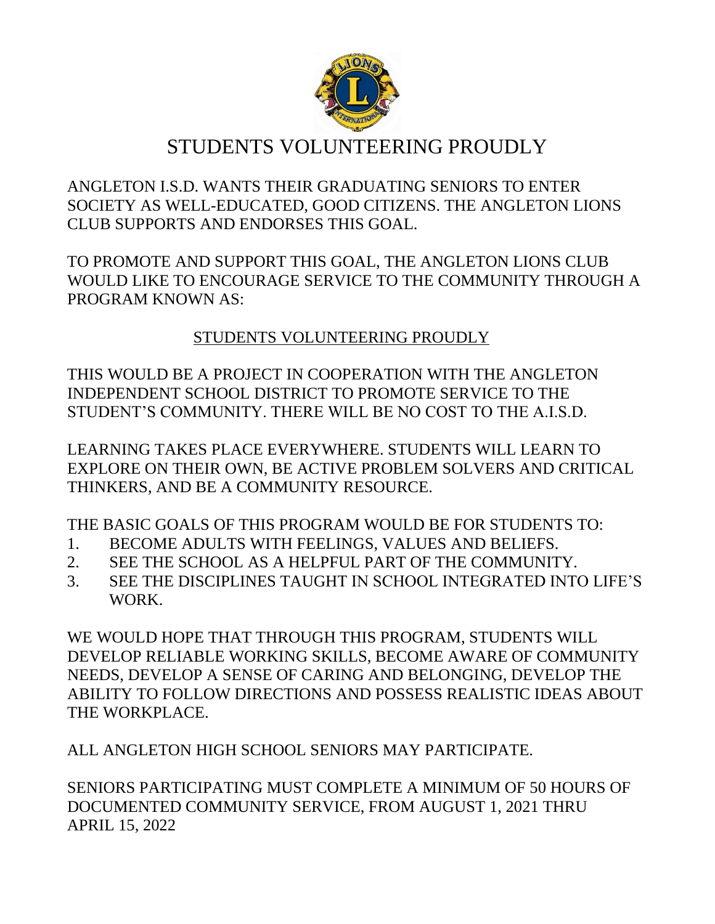

# STUDENTS VOLUNTEERING PROUDLY

ANGLETON I.S.D. WANTS THEIR GRADUATING SENIORS TO ENTER SOCIETY AS WELL-EDUCATED, GOOD CITIZENS. THE ANGLETON LIONS CLUB SUPPORTS AND ENDORSES THIS GOAL.

TO PROMOTE AND SUPPORT THIS GOAL, THE ANGLETON LIONS CLUB WOULD LIKE TO ENCOURAGE SERVICE TO THE COMMUNITY THROUGH A PROGRAM KNOWN AS:

### STUDENTS VOLUNTEERING PROUDLY

THIS WOULD BE A PROJECT IN COOPERATION WITH THE ANGLETON INDEPENDENT SCHOOL DISTRICT TO PROMOTE SERVICE TO THE STUDENT'S COMMUNITY. THERE WILL BE NO COST TO THE A.I.S.D.

LEARNING TAKES PLACE EVERYWHERE. STUDENTS WILL LEARN TO EXPLORE ON THEIR OWN, BE ACTIVE PROBLEM SOLVERS AND CRITICAL THINKERS, AND BE A COMMUNITY RESOURCE.

THE BASIC GOALS OF THIS PROGRAM WOULD BE FOR STUDENTS TO:

- 1. BECOME ADULTS WITH FEELINGS, VALUES AND BELIEFS.
- 2. SEE THE SCHOOL AS A HELPFUL PART OF THE COMMUNITY.
- 3. SEE THE DISCIPLINES TAUGHT IN SCHOOL INTEGRATED INTO LIFE'S WORK.

WE WOULD HOPE THAT THROUGH THIS PROGRAM, STUDENTS WILL DEVELOP RELIABLE WORKING SKILLS, BECOME AWARE OF COMMUNITY NEEDS, DEVELOP A SENSE OF CARING AND BELONGING, DEVELOP THE ABILITY TO FOLLOW DIRECTIONS AND POSSESS REALISTIC IDEAS ABOUT THE WORKPLACE.

ALL ANGLETON HIGH SCHOOL SENIORS MAY PARTICIPATE.

SENIORS PARTICIPATING MUST COMPLETE A MINIMUM OF 50 HOURS OF DOCUMENTED COMMUNITY SERVICE, FROM AUGUST 1, 2021 THRU APRIL 15, 2022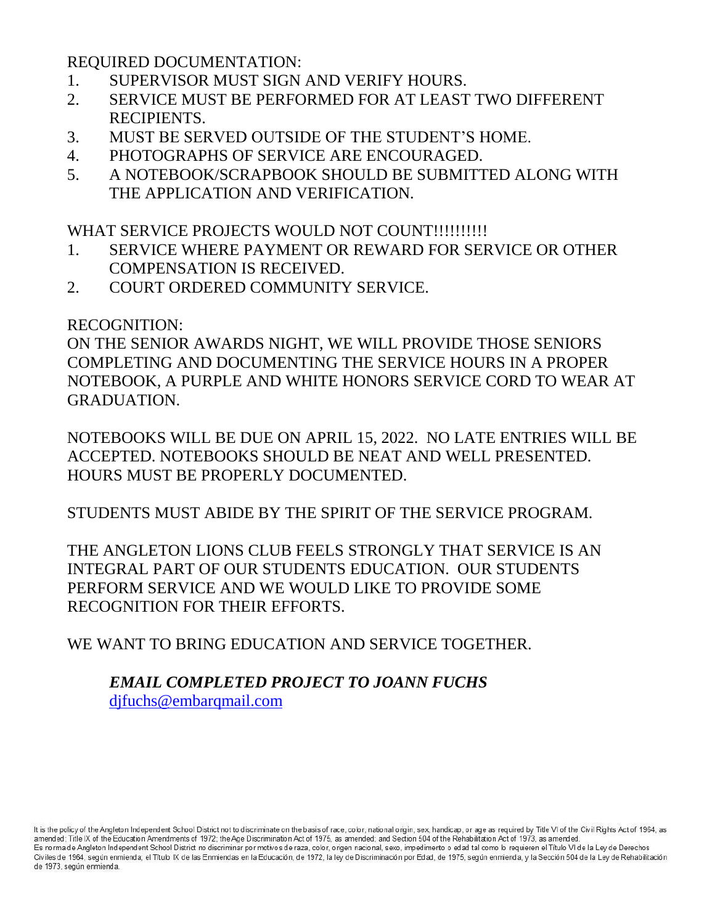REQUIRED DOCUMENTATION:

- 1. SUPERVISOR MUST SIGN AND VERIFY HOURS.
- 2. SERVICE MUST BE PERFORMED FOR AT LEAST TWO DIFFERENT RECIPIENTS.
- 3. MUST BE SERVED OUTSIDE OF THE STUDENT'S HOME.
- 4. PHOTOGRAPHS OF SERVICE ARE ENCOURAGED.
- 5. A NOTEBOOK/SCRAPBOOK SHOULD BE SUBMITTED ALONG WITH THE APPLICATION AND VERIFICATION.

WHAT SERVICE PROJECTS WOULD NOT COUNT!!!!!!!!!!!

- 1. SERVICE WHERE PAYMENT OR REWARD FOR SERVICE OR OTHER COMPENSATION IS RECEIVED.
- 2. COURT ORDERED COMMUNITY SERVICE.

RECOGNITION:

ON THE SENIOR AWARDS NIGHT, WE WILL PROVIDE THOSE SENIORS COMPLETING AND DOCUMENTING THE SERVICE HOURS IN A PROPER NOTEBOOK, A PURPLE AND WHITE HONORS SERVICE CORD TO WEAR AT GRADUATION.

NOTEBOOKS WILL BE DUE ON APRIL 15, 2022. NO LATE ENTRIES WILL BE ACCEPTED. NOTEBOOKS SHOULD BE NEAT AND WELL PRESENTED. HOURS MUST BE PROPERLY DOCUMENTED.

STUDENTS MUST ABIDE BY THE SPIRIT OF THE SERVICE PROGRAM.

THE ANGLETON LIONS CLUB FEELS STRONGLY THAT SERVICE IS AN INTEGRAL PART OF OUR STUDENTS EDUCATION. OUR STUDENTS PERFORM SERVICE AND WE WOULD LIKE TO PROVIDE SOME RECOGNITION FOR THEIR EFFORTS.

WE WANT TO BRING EDUCATION AND SERVICE TOGETHER.

### *EMAIL COMPLETED PROJECT TO JOANN FUCHS* difuchs@embarqmail.com

It is the policy of the Angleton Independent School District not to discriminate on the basis of race, color, national origin, sex, handicap, or age as required by Title VI of the Civil Rights Act of 1964, as amended; Title IX of the Education Amendments of 1972; the Age Discrimination Act of 1975, as amended; and Section 504 of the Rehabilitation Act of 1973, as amended. Es norma de Angleton Independent School District no discriminar por motivos de raza, color, origen nacional, sexo, impedimento o edad tal como lo requieren el Título VI de la Ley de Derechos Civiles de 1964, según enmienda; el Título IX de las Enmiendas en la Educación, de 1972, la ley de Discriminación por Edad, de 1975, según enmienda, y la Sección 504 de la Ley de Rehabilitación de 1973, según enmienda.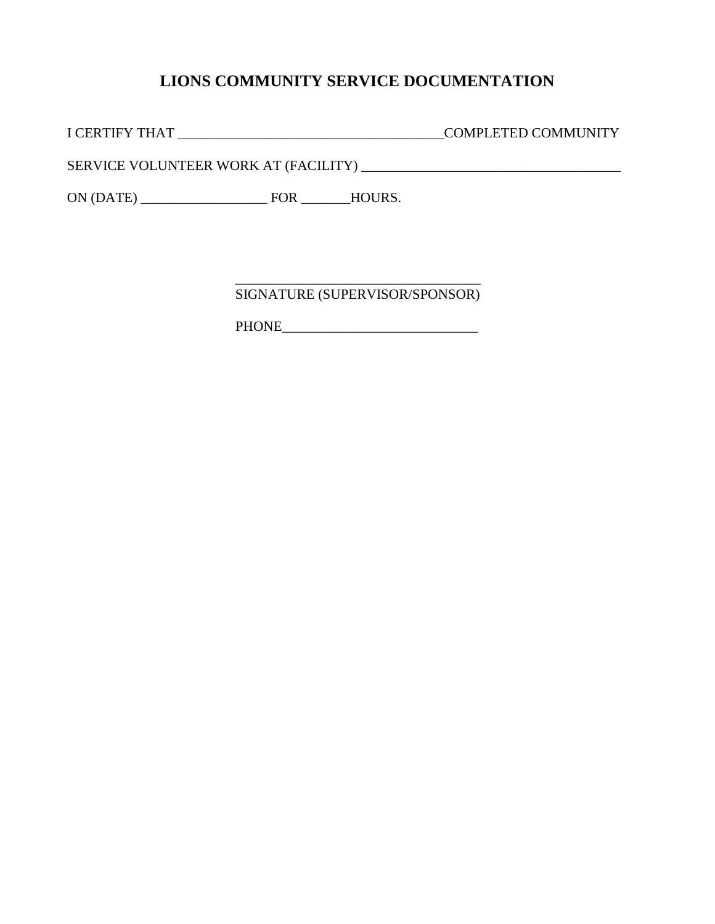#### **LIONS COMMUNITY SERVICE DOCUMENTATION**

I CERTIFY THAT \_\_\_\_\_\_\_\_\_\_\_\_\_\_\_\_\_\_\_\_\_\_\_\_\_\_\_\_\_\_\_\_\_\_\_\_\_\_COMPLETED COMMUNITY

SERVICE VOLUNTEER WORK AT (FACILITY) \_\_\_\_\_\_\_\_\_\_\_\_\_\_\_\_\_\_\_\_\_\_\_\_\_\_\_\_\_\_\_\_\_\_\_\_\_

ON (DATE) \_\_\_\_\_\_\_\_\_\_\_\_\_\_\_\_\_\_ FOR \_\_\_\_\_\_\_HOURS.

\_\_\_\_\_\_\_\_\_\_\_\_\_\_\_\_\_\_\_\_\_\_\_\_\_\_\_\_\_\_\_\_\_\_\_ SIGNATURE (SUPERVISOR/SPONSOR)

PHONE\_\_\_\_\_\_\_\_\_\_\_\_\_\_\_\_\_\_\_\_\_\_\_\_\_\_\_\_